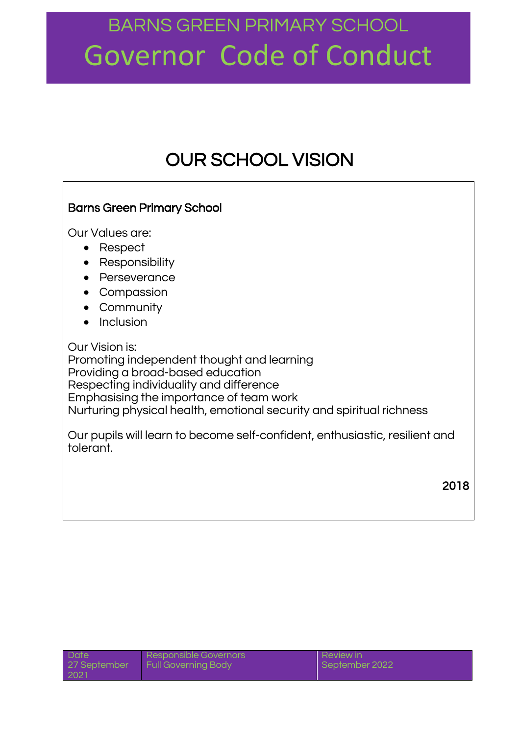### OUR SCHOOL VISION

### Barns Green Primary School Our Values are: • Respect • Responsibility • Perseverance • Compassion Community  $\bullet$  Inclusion Our Vision is: Promoting independent thought and learning Providing a broad-based education Respecting individuality and difference Emphasising the importance of team work Nurturing physical health, emotional security and spiritual richness Our pupils will learn to become self-confident, enthusiastic, resilient and tolerant.

2018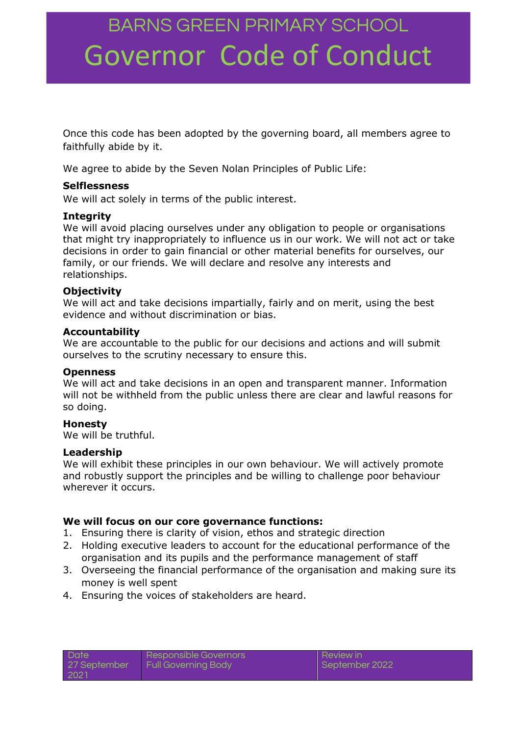Once this code has been adopted by the governing board, all members agree to faithfully abide by it.

We agree to abide by the Seven Nolan Principles of Public Life:

### **Selflessness**

We will act solely in terms of the public interest.

### **Integrity**

We will avoid placing ourselves under any obligation to people or organisations that might try inappropriately to influence us in our work. We will not act or take decisions in order to gain financial or other material benefits for ourselves, our family, or our friends. We will declare and resolve any interests and relationships.

### **Objectivity**

We will act and take decisions impartially, fairly and on merit, using the best evidence and without discrimination or bias.

### **Accountability**

We are accountable to the public for our decisions and actions and will submit ourselves to the scrutiny necessary to ensure this.

### **Openness**

We will act and take decisions in an open and transparent manner. Information will not be withheld from the public unless there are clear and lawful reasons for so doing.

### **Honesty**

We will be truthful.

### **Leadership**

We will exhibit these principles in our own behaviour. We will actively promote and robustly support the principles and be willing to challenge poor behaviour wherever it occurs.

### **We will focus on our core governance functions:**

- 1. Ensuring there is clarity of vision, ethos and strategic direction
- 2. Holding executive leaders to account for the educational performance of the organisation and its pupils and the performance management of staff
- 3. Overseeing the financial performance of the organisation and making sure its money is well spent
- 4. Ensuring the voices of stakeholders are heard.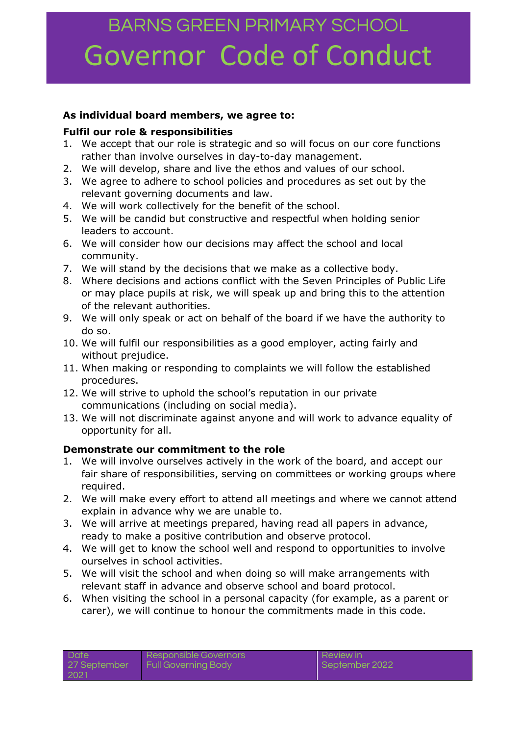### **As individual board members, we agree to:**

### **Fulfil our role & responsibilities**

- 1. We accept that our role is strategic and so will focus on our core functions rather than involve ourselves in day-to-day management.
- 2. We will develop, share and live the ethos and values of our school.
- 3. We agree to adhere to school policies and procedures as set out by the relevant governing documents and law.
- 4. We will work collectively for the benefit of the school.
- 5. We will be candid but constructive and respectful when holding senior leaders to account.
- 6. We will consider how our decisions may affect the school and local community.
- 7. We will stand by the decisions that we make as a collective body.
- 8. Where decisions and actions conflict with the Seven Principles of Public Life or may place pupils at risk, we will speak up and bring this to the attention of the relevant authorities.
- 9. We will only speak or act on behalf of the board if we have the authority to do so.
- 10. We will fulfil our responsibilities as a good employer, acting fairly and without prejudice.
- 11. When making or responding to complaints we will follow the established procedures.
- 12. We will strive to uphold the school's reputation in our private communications (including on social media).
- 13. We will not discriminate against anyone and will work to advance equality of opportunity for all.

### **Demonstrate our commitment to the role**

- 1. We will involve ourselves actively in the work of the board, and accept our fair share of responsibilities, serving on committees or working groups where required.
- 2. We will make every effort to attend all meetings and where we cannot attend explain in advance why we are unable to.
- 3. We will arrive at meetings prepared, having read all papers in advance, ready to make a positive contribution and observe protocol.
- 4. We will get to know the school well and respond to opportunities to involve ourselves in school activities.
- 5. We will visit the school and when doing so will make arrangements with relevant staff in advance and observe school and board protocol.
- 6. When visiting the school in a personal capacity (for example, as a parent or carer), we will continue to honour the commitments made in this code.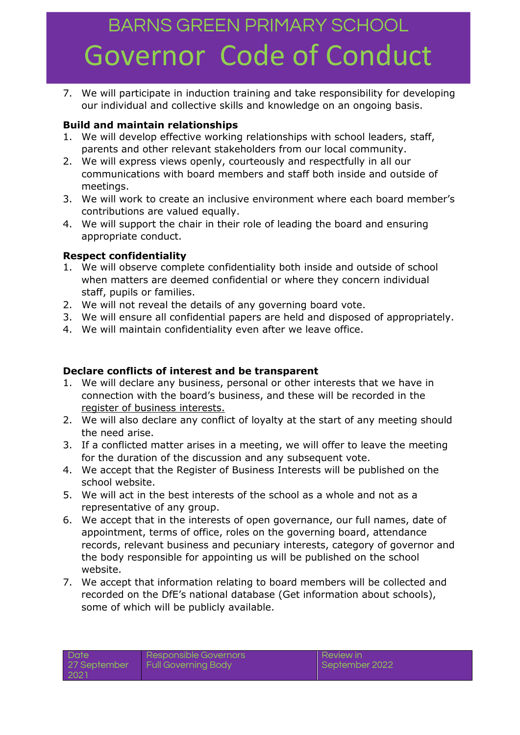7. We will participate in induction training and take responsibility for developing our individual and collective skills and knowledge on an ongoing basis.

### **Build and maintain relationships**

- 1. We will develop effective working relationships with school leaders, staff, parents and other relevant stakeholders from our local community.
- 2. We will express views openly, courteously and respectfully in all our communications with board members and staff both inside and outside of meetings.
- 3. We will work to create an inclusive environment where each board member's contributions are valued equally.
- 4. We will support the chair in their role of leading the board and ensuring appropriate conduct.

### **Respect confidentiality**

- 1. We will observe complete confidentiality both inside and outside of school when matters are deemed confidential or where they concern individual staff, pupils or families.
- 2. We will not reveal the details of any governing board vote.
- 3. We will ensure all confidential papers are held and disposed of appropriately.
- 4. We will maintain confidentiality even after we leave office.

### **Declare conflicts of interest and be transparent**

- 1. We will declare any business, personal or other interests that we have in connection with the board's business, and these will be recorded in the [register of business interests.](https://www.nga.org.uk/Knowledge-Centre/Compliance/Policies-and-procedures/Declaration-and-register-of-interests-forms.aspx)
- 2. We will also declare any conflict of loyalty at the start of any meeting should the need arise.
- 3. If a conflicted matter arises in a meeting, we will offer to leave the meeting for the duration of the discussion and any subsequent vote.
- 4. We accept that the Register of Business Interests will be published on the school website.
- 5. We will act in the best interests of the school as a whole and not as a representative of any group.
- 6. We accept that in the interests of open governance, our full names, date of appointment, terms of office, roles on the governing board, attendance records, relevant business and pecuniary interests, category of governor and the body responsible for appointing us will be published on the school website.
- 7. We accept that information relating to board members will be collected and recorded on the DfE's national database (Get information about schools), some of which will be publicly available.